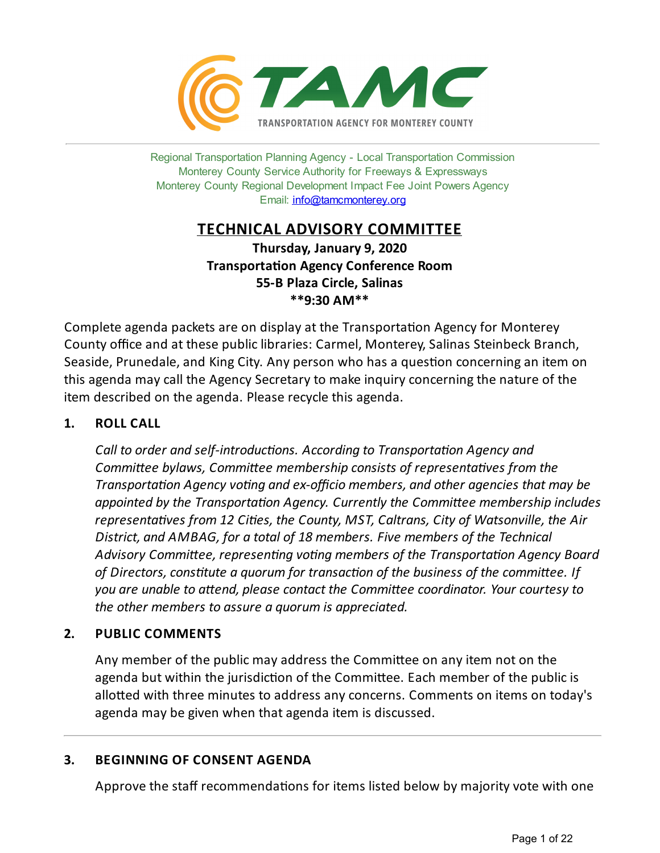

Regional Transportation Planning Agency - Local Transportation Commission Monterey County Service Authority for Freeways & Expressways Monterey County Regional Development Impact Fee Joint Powers Agency Email: <info@tamcmonterey.org>

# **TECHNICAL ADVISORY COMMITTEE**

**Thursday, January 9, 2020 Transportation Agency Conference Room 55-B Plaza Circle, Salinas \*\*9:30 AM\*\***

Complete agenda packets are on display at the Transportation Agency for Monterey County office and at these public libraries: Carmel, Monterey, Salinas Steinbeck Branch, Seaside, Prunedale, and King City. Any person who has a question concerning an item on this agenda may call the Agency Secretary to make inquiry concerningthe nature of the item described on the agenda. Please recycle this agenda.

# **1. ROLL CALL**

*Call* to *order* and *self-introductions. According* to *Transportation Agency and Committee bylaws, Committee membership consists of representatives from the Transportation Agency voting* and *ex-officio members*, and *other agencies that may be appointed* by the *Transportation Agency. Currently the Committee membership includes representaves from 12 Cies, the County, MST, Caltrans, City of Watsonville, the Air District, and AMBAG, for a total of 18 members. Five members of the Technical* Advisory Committee, representing voting members of the Transportation Agency Board *of Directors,constute a quorum for transacon of the business of the commiee. If you are unable to aend, please contact the Commiee coordinator. Your courtesy to the other members to assure a quorum is appreciated.*

### **2. PUBLIC COMMENTS**

Any member of the public may address the Committee on any item not on the agenda but within the jurisdiction of the Committee. Each member of the public is allotted with three minutes to address any concerns. Comments on items on today's agenda may be given when that agenda item is discussed.

### **3. BEGINNING OF CONSENT AGENDA**

Approve the staff recommendations for items listed below by majority vote with one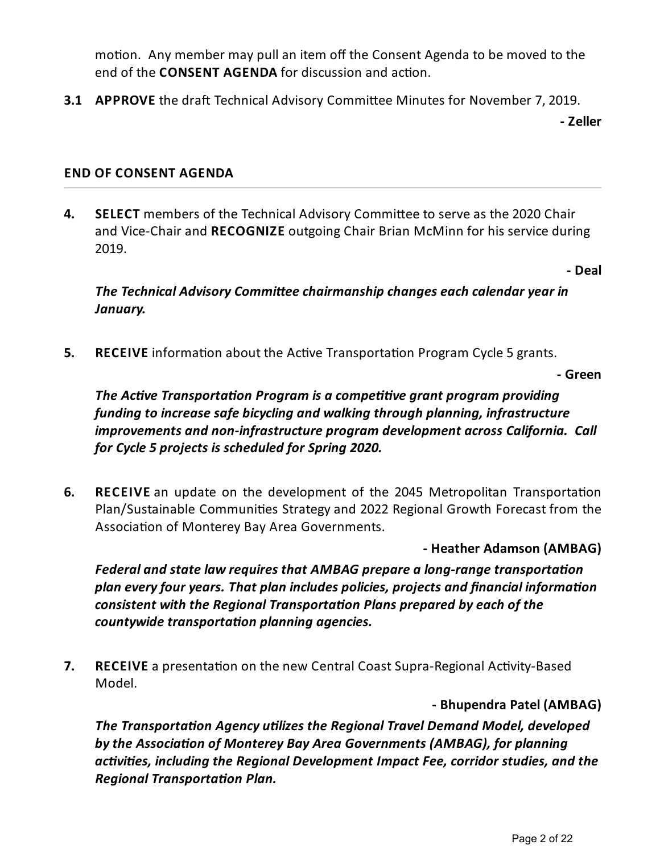motion. Any member may pull an item off the Consent Agenda to be moved to the end of the **CONSENT AGENDA** for discussion and action.

**3.1 APPROVE** the draft Technical Advisory Committee Minutes for November 7, 2019.

**- Zeller**

### **END OF CONSENT AGENDA**

**4. SELECT** members of the Technical Advisory Committee to serve as the 2020 Chair and Vice-Chair and **RECOGNIZE** outgoing Chair Brian McMinn for his service during 2019.

**- Deal**

*The Technical Advisory Committee chairmanship changes each calendar year in January.*

**5. RECEIVE** information about the Active Transportation Program Cycle 5 grants.

**- Green**

*The Active Transportation Program is a competitive grant program providing funding to increasesafe bicycling and walking through planning, infrastructure improvements and non-infrastructure program development across California. Call for Cycle 5 projects is scheduled for Spring 2020.*

**6. RECEIVE** an update on the development of the 2045 Metropolitan Transportation Plan/Sustainable Communities Strategy and 2022 Regional Growth Forecast from the Association of Monterey Bay Area Governments.

**- Heather Adamson (AMBAG)**

*Federal* and *state law requires that AMBAG prepare a long-range transportation plan everyfour years. That plan includes policies, projects and financial informaon consistent with the Regional Transportaon Plans prepared byeach of the countywide transportation planning agencies.* 

**7. RECEIVE** a presentation on the new Central Coast Supra-Regional Activity-Based Model.

# **- Bhupendra Patel (AMBAG)**

*The Transportation Agency utilizes the Regional Travel Demand Model, developed bythe Associaon of Monterey Bay Area Governments (AMBAG), for planning activities, including the Regional Development Impact Fee, corridor studies, and the Regional Transportation Plan.*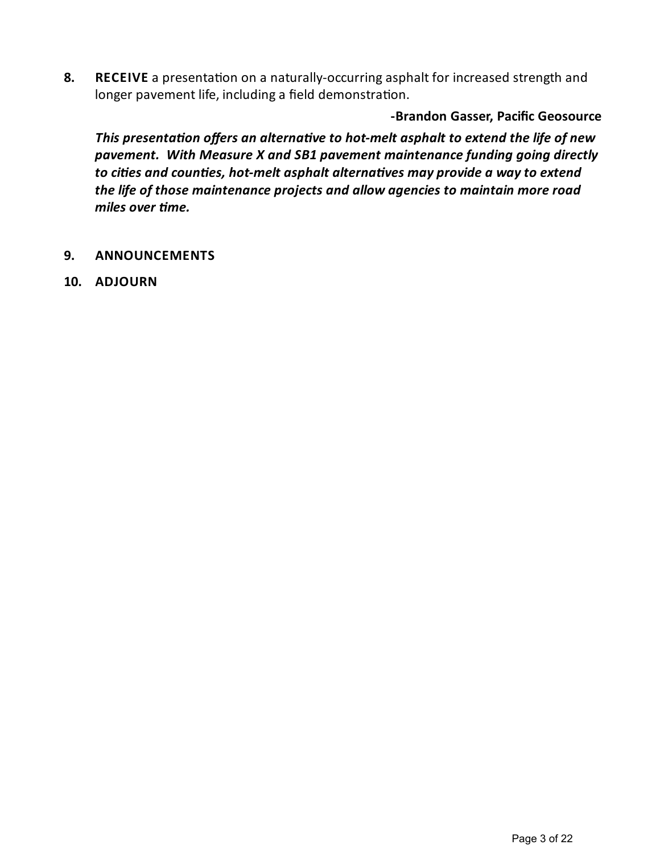**8. RECEIVE** a presentation on a naturally-occurring asphalt for increased strength and longer pavement life, including a field demonstration.

**-Brandon Gasser, Pacific Geosource**

*This* presentation offers an alternative to hot-melt asphalt to extend the life of new *pavement. With Measure X and SB1 pavement maintenancefunding going directly to cities* and *counties, hot-melt* asphalt alternatives may provide a way to extend *thelife of those maintenance projects and allow agencies to maintain moreroad miles over me.*

- **9. ANNOUNCEMENTS**
- **10. ADJOURN**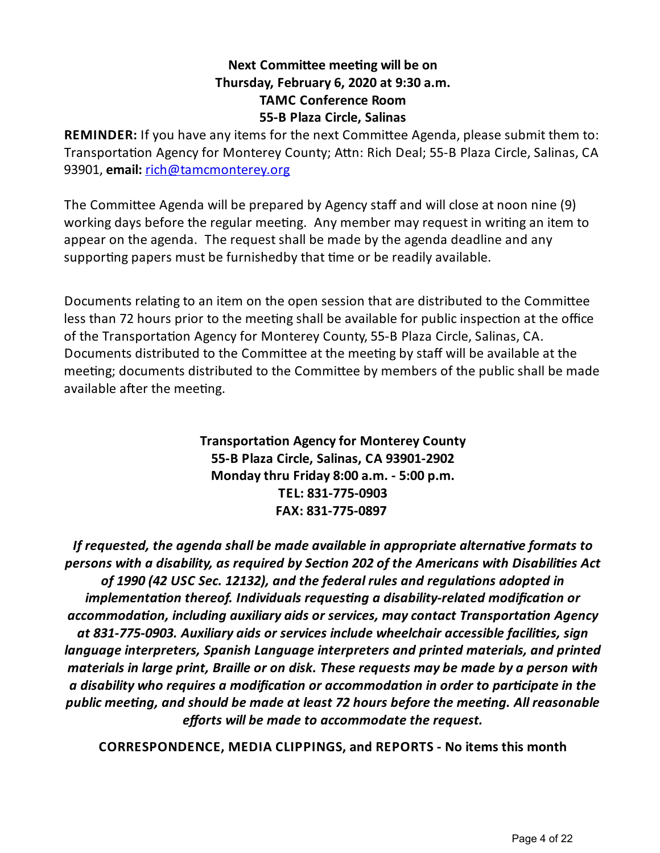# **Next Committee meeting will be on Thursday, February 6, 2020 at 9:30 a.m. TAMC Conference Room 55-B Plaza Circle, Salinas**

**REMINDER:** If you have any items for the next Committee Agenda, please submit them to: Transportation Agency for Monterey County; Attn: Rich Deal; 55-B Plaza Circle, Salinas, CA 93901, **email:** [rich@tamcmonterey.org](mailto:rich@tamcmonterey.org)

The Committee Agenda will be prepared by Agency staff and will close at noon nine (9) working days before the regular meeting. Any member may request in writing an item to appear on the agenda. The request shall be made by the agenda deadline and any supporting papers must be furnishedby that time or be readily available.

Documents relating to an item on the open session that are distributed to the Committee less than 72 hours prior to the meeting shall be available for public inspection at the office of the Transportation Agency for Monterey County, 55-B Plaza Circle, Salinas, CA. Documents distributed to the Committee at the meeting by staff will be available at the meeting; documents distributed to the Committee by members of the public shall be made available after the meeting.

> **Transportation Agency for Monterey County 55-B Plaza Circle, Salinas, CA 93901-2902 Mondaythru Friday 8:00 a.m. - 5:00 p.m. TEL: 831-775-0903 FAX: 831-775-0897**

*If requested, the agenda shall be made availablein appropriate alternaveformats to persons with a disability, as required bySecon 202 of the Americans with Disabilies Act of 1990 (42 USC Sec. 12132), and thefederal rules and regulaons adopted in implementation thereof. Individuals requesting a disability-related modification or accommodaon, including auxiliary aids or services, maycontact Transportaon Agency at 831-775-0903. Auxiliary aids or services include wheelchair accessiblefacilies, sign languageinterpreters, Spanish Languageinterpreters and printed materials, and printed materials in large print, Braille or on disk. Theserequests may be made by a person with a disability* who requires a modification or accommodation in order to participate in the *public meeng, and should be made at least 72 hours beforethe meeng. All reasonable efforts* will be made to accommodate the request.

**CORRESPONDENCE, MEDIA CLIPPINGS, and REPORTS - No items this month**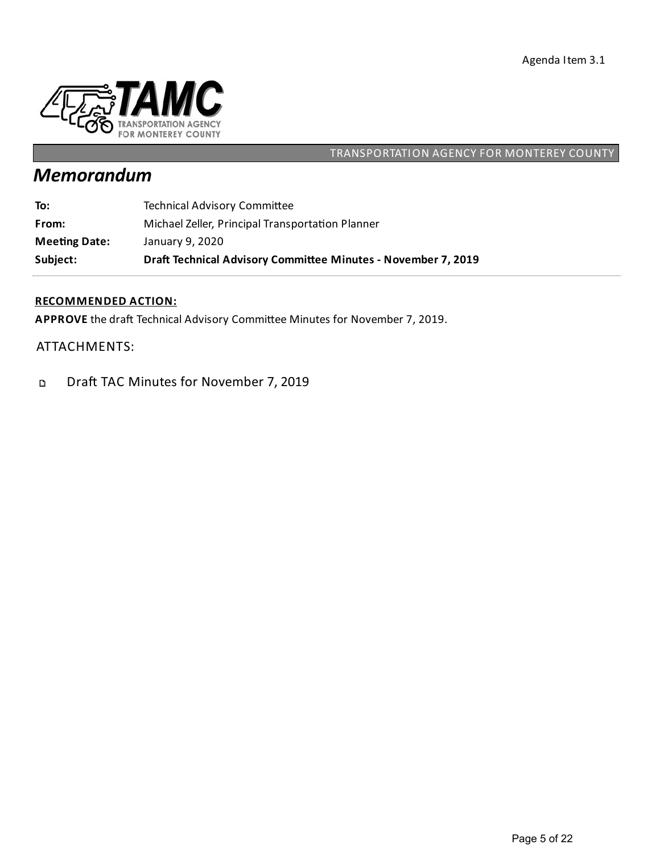

# *Memorandum*

**To:** Technical Advisory Committee

**From:** Michael Zeller, Principal Transportation Planner

**Mee ng Date:** January 9, 2020

**Subject: Dra Technical Advisory Commiee Minutes - November 7, 2019**

#### **RECOMMENDED ACTION:**

APPROVE the draft Technical Advisory Committee Minutes for November 7, 2019.

ATTACHMENTS:

Draft TAC Minutes for November 7, 2019  $\mathbf D$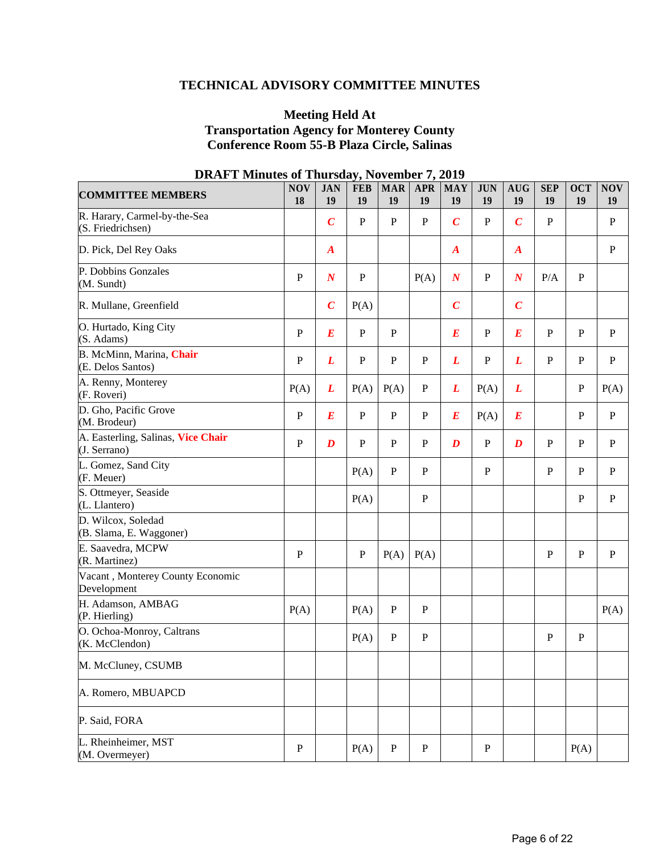### **TECHNICAL ADVISORY COMMITTEE MINUTES**

### **Meeting Held At Transportation Agency for Monterey County Conference Room 55-B Plaza Circle, Salinas**

| рити і міниць ог<br><b>COMMITTEE MEMBERS</b>       | <b>NOV</b><br>18 | <b>JAN</b><br>19 | <b>FEB</b><br>19 | <b>MAR</b><br>19 | <b>APR</b><br>19 | <i>- 01.</i><br><b>MAY</b><br>19 | <b>JUN</b><br>19 | <b>AUG</b><br>19 | <b>SEP</b><br>19 | <b>OCT</b><br>19 | <b>NOV</b><br>19 |
|----------------------------------------------------|------------------|------------------|------------------|------------------|------------------|----------------------------------|------------------|------------------|------------------|------------------|------------------|
| R. Harary, Carmel-by-the-Sea<br>(S. Friedrichsen)  |                  | $\boldsymbol{C}$ | $\mathbf{P}$     | $\mathbf{P}$     | $\mathbf{P}$     | $\overline{C}$                   | P                | $\boldsymbol{C}$ | $\mathbf{P}$     |                  | $\mathbf{P}$     |
| D. Pick, Del Rey Oaks                              |                  | $\boldsymbol{A}$ |                  |                  |                  | $\boldsymbol{A}$                 |                  | $\boldsymbol{A}$ |                  |                  | $\mathbf{P}$     |
| P. Dobbins Gonzales<br>(M. Sundt)                  | ${\bf P}$        | $\boldsymbol{N}$ | ${\bf P}$        |                  | P(A)             | $\boldsymbol{N}$                 | P                | $\boldsymbol{N}$ | P/A              | ${\bf P}$        |                  |
| R. Mullane, Greenfield                             |                  | $\boldsymbol{C}$ | P(A)             |                  |                  | $\boldsymbol{C}$                 |                  | $\boldsymbol{C}$ |                  |                  |                  |
| O. Hurtado, King City<br>(S. Adams)                | ${\bf P}$        | $\boldsymbol{E}$ | ${\bf P}$        | ${\bf P}$        |                  | $\boldsymbol{E}$                 | $\mathbf{P}$     | $\boldsymbol{E}$ | $\mathbf{P}$     | $\mathbf{P}$     | $\mathbf{P}$     |
| B. McMinn, Marina, Chair<br>(E. Delos Santos)      | ${\bf P}$        | L                | $\mathbf P$      | ${\bf P}$        | P                | L                                | $\mathbf{P}$     | L                | $\mathbf P$      | ${\bf P}$        | $\mathbf P$      |
| A. Renny, Monterey<br>(F. Roveri)                  | P(A)             | L                | P(A)             | P(A)             | $\mathbf P$      | L                                | P(A)             | L                |                  | ${\bf P}$        | P(A)             |
| D. Gho, Pacific Grove<br>(M. Brodeur)              | ${\bf P}$        | $\boldsymbol{E}$ | $\mathbf{P}$     | $\mathbf{P}$     | $\mathbf{P}$     | $\bm E$                          | P(A)             | $\bm E$          |                  | $\mathbf{P}$     | ${\bf P}$        |
| A. Easterling, Salinas, Vice Chair<br>(J. Serrano) | ${\bf P}$        | $\boldsymbol{D}$ | $\mathbf{P}$     | $\mathbf{P}$     | $\mathbf{P}$     | $\boldsymbol{D}$                 | $\mathbf{P}$     | $\boldsymbol{D}$ | $\mathbf{P}$     | $\mathbf{P}$     | $\mathbf{P}$     |
| L. Gomez, Sand City<br>(F. Meuer)                  |                  |                  | P(A)             | $\mathbf{P}$     | P                |                                  | $\mathbf{P}$     |                  | $\mathbf P$      | ${\bf P}$        | $\mathbf P$      |
| S. Ottmeyer, Seaside<br>(L. Llantero)              |                  |                  | P(A)             |                  | $\mathbf{P}$     |                                  |                  |                  |                  | ${\bf P}$        | ${\bf P}$        |
| D. Wilcox, Soledad<br>(B. Slama, E. Waggoner)      |                  |                  |                  |                  |                  |                                  |                  |                  |                  |                  |                  |
| E. Saavedra, MCPW<br>(R. Martinez)                 | $\mathbf P$      |                  | $\mathbf P$      | P(A)             | P(A)             |                                  |                  |                  | $\mathbf P$      | ${\bf P}$        | $\mathbf{P}$     |
| Vacant, Monterey County Economic<br>Development    |                  |                  |                  |                  |                  |                                  |                  |                  |                  |                  |                  |
| H. Adamson, AMBAG<br>(P. Hierling)                 | P(A)             |                  | P(A)             | $\mathbf{P}$     | P                |                                  |                  |                  |                  |                  | P(A)             |
| O. Ochoa-Monroy, Caltrans<br>(K. McClendon)        |                  |                  | P(A)             | $\mathbf{P}$     | $\mathbf{P}$     |                                  |                  |                  | $\mathbf P$      | ${\bf P}$        |                  |
| M. McCluney, CSUMB                                 |                  |                  |                  |                  |                  |                                  |                  |                  |                  |                  |                  |
| A. Romero, MBUAPCD                                 |                  |                  |                  |                  |                  |                                  |                  |                  |                  |                  |                  |
| P. Said, FORA                                      |                  |                  |                  |                  |                  |                                  |                  |                  |                  |                  |                  |
| L. Rheinheimer, MST<br>(M. Overmeyer)              | $\mathbf P$      |                  | P(A)             | ${\bf P}$        | P                |                                  | P                |                  |                  | P(A)             |                  |

### **DRAFT Minutes of Thursday, November 7, 2019**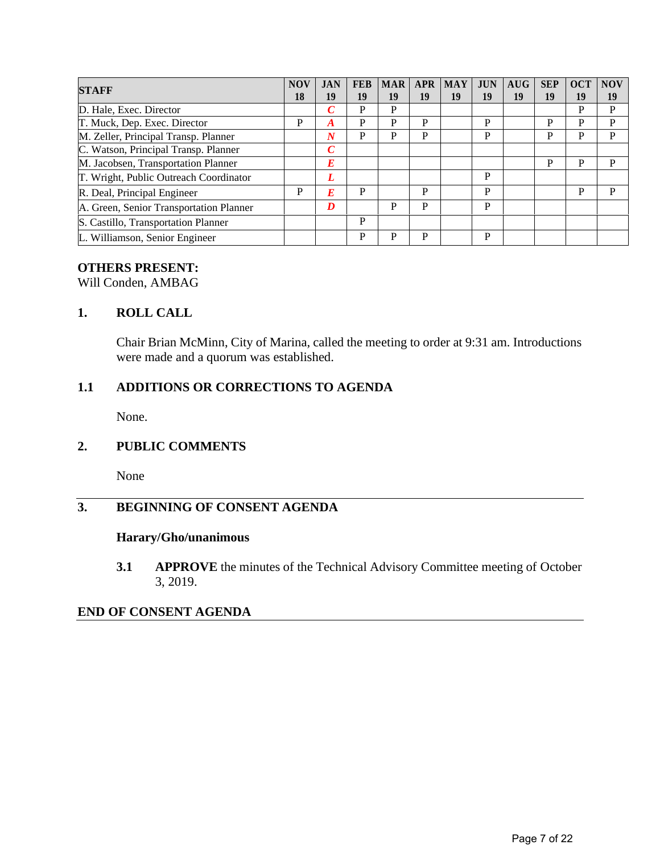| <b>STAFF</b>                            |   | <b>JAN</b>       | <b>FEB</b> | <b>MAR</b> | <b>APR</b> | <b>MAY</b> | <b>JUN</b> | AUG | <b>SEP</b> | <b>OCT</b> | <b>NOV</b> |
|-----------------------------------------|---|------------------|------------|------------|------------|------------|------------|-----|------------|------------|------------|
|                                         |   | 19               | 19         | 19         | 19         | 19         | 19         | 19  | 19         | 19         | 19         |
| D. Hale, Exec. Director                 |   | $\boldsymbol{C}$ | P          | P          |            |            |            |     |            | P          | P          |
| T. Muck, Dep. Exec. Director            | P | A                | P          | P          | P          |            | P          |     | P          | P          | P          |
| M. Zeller, Principal Transp. Planner    |   | $\boldsymbol{N}$ | P          | P          | P          |            | P          |     | P          | P          | P          |
| C. Watson, Principal Transp. Planner    |   | $\mathcal C$     |            |            |            |            |            |     |            |            |            |
| M. Jacobsen, Transportation Planner     |   | E                |            |            |            |            |            |     | P          | P          | P          |
| T. Wright, Public Outreach Coordinator  |   | L                |            |            |            |            | P          |     |            |            |            |
| R. Deal, Principal Engineer             | P | E                | P          |            | P          |            | P          |     |            | P          | P          |
| A. Green, Senior Transportation Planner |   | D                |            | P          | P          |            | P          |     |            |            |            |
| S. Castillo, Transportation Planner     |   |                  | P          |            |            |            |            |     |            |            |            |
| L. Williamson, Senior Engineer          |   |                  | P          | P          | P          |            | P          |     |            |            |            |

### **OTHERS PRESENT:**

Will Conden, AMBAG

#### **1. ROLL CALL**

Chair Brian McMinn, City of Marina, called the meeting to order at 9:31 am. Introductions were made and a quorum was established.

### **1.1 ADDITIONS OR CORRECTIONS TO AGENDA**

None.

#### **2. PUBLIC COMMENTS**

None

### **3. BEGINNING OF CONSENT AGENDA**

#### **Harary/Gho/unanimous**

**3.1 APPROVE** the minutes of the Technical Advisory Committee meeting of October 3, 2019.

#### **END OF CONSENT AGENDA**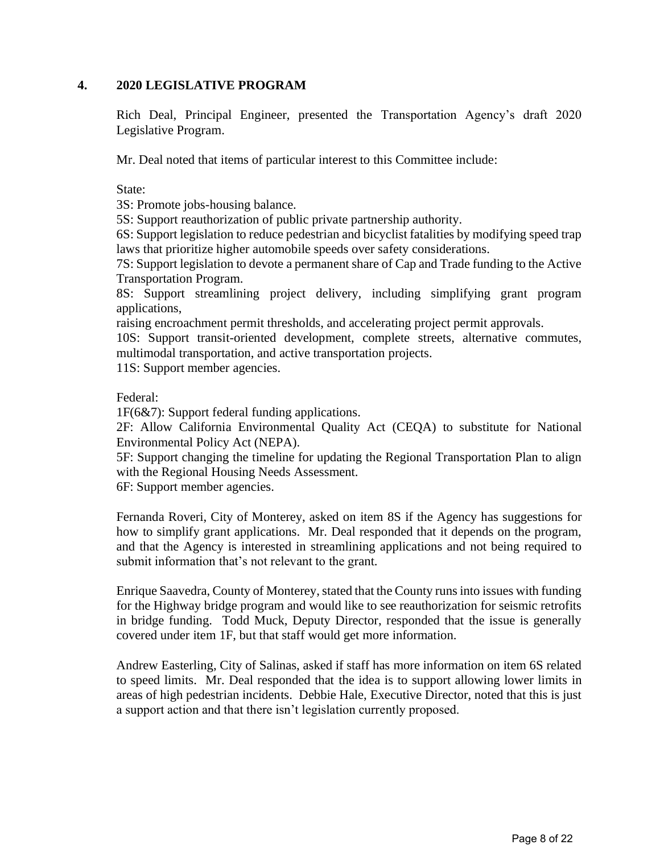#### **4. 2020 LEGISLATIVE PROGRAM**

Rich Deal, Principal Engineer, presented the Transportation Agency's draft 2020 Legislative Program.

Mr. Deal noted that items of particular interest to this Committee include:

State:

3S: Promote jobs-housing balance.

5S: Support reauthorization of public private partnership authority.

6S: Support legislation to reduce pedestrian and bicyclist fatalities by modifying speed trap laws that prioritize higher automobile speeds over safety considerations.

7S: Support legislation to devote a permanent share of Cap and Trade funding to the Active Transportation Program.

8S: Support streamlining project delivery, including simplifying grant program applications,

raising encroachment permit thresholds, and accelerating project permit approvals.

10S: Support transit-oriented development, complete streets, alternative commutes, multimodal transportation, and active transportation projects.

11S: Support member agencies.

Federal:

1F(6&7): Support federal funding applications.

2F: Allow California Environmental Quality Act (CEQA) to substitute for National Environmental Policy Act (NEPA).

5F: Support changing the timeline for updating the Regional Transportation Plan to align with the Regional Housing Needs Assessment.

6F: Support member agencies.

Fernanda Roveri, City of Monterey, asked on item 8S if the Agency has suggestions for how to simplify grant applications. Mr. Deal responded that it depends on the program, and that the Agency is interested in streamlining applications and not being required to submit information that's not relevant to the grant.

Enrique Saavedra, County of Monterey, stated that the County runs into issues with funding for the Highway bridge program and would like to see reauthorization for seismic retrofits in bridge funding. Todd Muck, Deputy Director, responded that the issue is generally covered under item 1F, but that staff would get more information.

Andrew Easterling, City of Salinas, asked if staff has more information on item 6S related to speed limits. Mr. Deal responded that the idea is to support allowing lower limits in areas of high pedestrian incidents. Debbie Hale, Executive Director, noted that this is just a support action and that there isn't legislation currently proposed.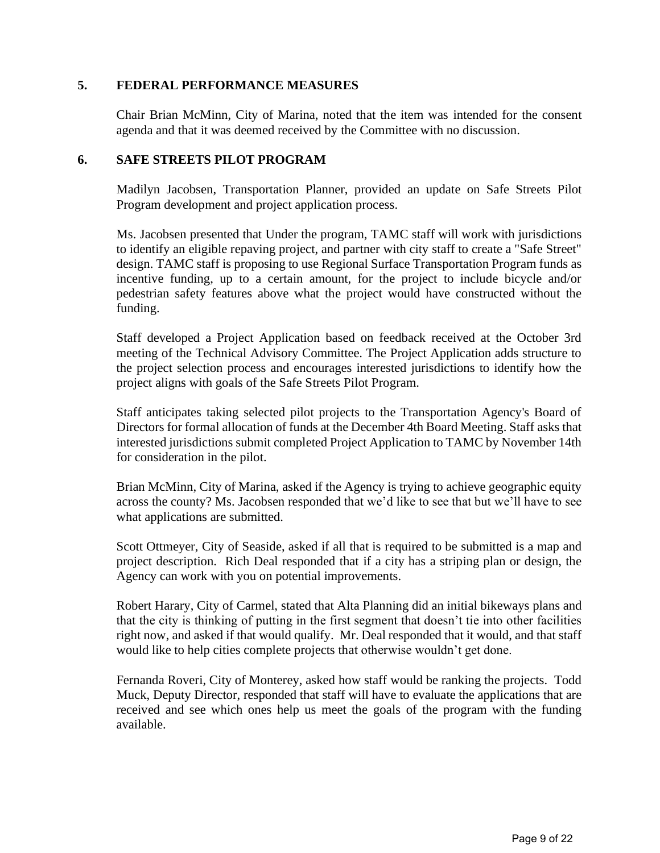#### **5. FEDERAL PERFORMANCE MEASURES**

Chair Brian McMinn, City of Marina, noted that the item was intended for the consent agenda and that it was deemed received by the Committee with no discussion.

#### **6. SAFE STREETS PILOT PROGRAM**

Madilyn Jacobsen, Transportation Planner, provided an update on Safe Streets Pilot Program development and project application process.

Ms. Jacobsen presented that Under the program, TAMC staff will work with jurisdictions to identify an eligible repaving project, and partner with city staff to create a "Safe Street" design. TAMC staff is proposing to use Regional Surface Transportation Program funds as incentive funding, up to a certain amount, for the project to include bicycle and/or pedestrian safety features above what the project would have constructed without the funding.

Staff developed a Project Application based on feedback received at the October 3rd meeting of the Technical Advisory Committee. The Project Application adds structure to the project selection process and encourages interested jurisdictions to identify how the project aligns with goals of the Safe Streets Pilot Program.

Staff anticipates taking selected pilot projects to the Transportation Agency's Board of Directors for formal allocation of funds at the December 4th Board Meeting. Staff asks that interested jurisdictions submit completed Project Application to TAMC by November 14th for consideration in the pilot.

Brian McMinn, City of Marina, asked if the Agency is trying to achieve geographic equity across the county? Ms. Jacobsen responded that we'd like to see that but we'll have to see what applications are submitted.

Scott Ottmeyer, City of Seaside, asked if all that is required to be submitted is a map and project description. Rich Deal responded that if a city has a striping plan or design, the Agency can work with you on potential improvements.

Robert Harary, City of Carmel, stated that Alta Planning did an initial bikeways plans and that the city is thinking of putting in the first segment that doesn't tie into other facilities right now, and asked if that would qualify. Mr. Deal responded that it would, and that staff would like to help cities complete projects that otherwise wouldn't get done.

Fernanda Roveri, City of Monterey, asked how staff would be ranking the projects. Todd Muck, Deputy Director, responded that staff will have to evaluate the applications that are received and see which ones help us meet the goals of the program with the funding available.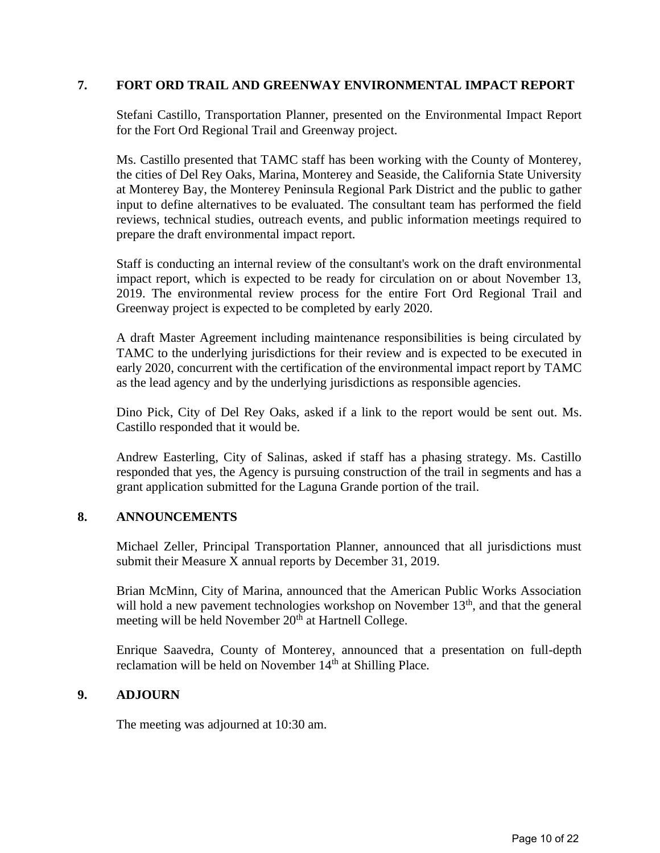#### **7. FORT ORD TRAIL AND GREENWAY ENVIRONMENTAL IMPACT REPORT**

Stefani Castillo, Transportation Planner, presented on the Environmental Impact Report for the Fort Ord Regional Trail and Greenway project.

Ms. Castillo presented that TAMC staff has been working with the County of Monterey, the cities of Del Rey Oaks, Marina, Monterey and Seaside, the California State University at Monterey Bay, the Monterey Peninsula Regional Park District and the public to gather input to define alternatives to be evaluated. The consultant team has performed the field reviews, technical studies, outreach events, and public information meetings required to prepare the draft environmental impact report.

Staff is conducting an internal review of the consultant's work on the draft environmental impact report, which is expected to be ready for circulation on or about November 13, 2019. The environmental review process for the entire Fort Ord Regional Trail and Greenway project is expected to be completed by early 2020.

A draft Master Agreement including maintenance responsibilities is being circulated by TAMC to the underlying jurisdictions for their review and is expected to be executed in early 2020, concurrent with the certification of the environmental impact report by TAMC as the lead agency and by the underlying jurisdictions as responsible agencies.

Dino Pick, City of Del Rey Oaks, asked if a link to the report would be sent out. Ms. Castillo responded that it would be.

Andrew Easterling, City of Salinas, asked if staff has a phasing strategy. Ms. Castillo responded that yes, the Agency is pursuing construction of the trail in segments and has a grant application submitted for the Laguna Grande portion of the trail.

#### **8. ANNOUNCEMENTS**

Michael Zeller, Principal Transportation Planner, announced that all jurisdictions must submit their Measure X annual reports by December 31, 2019.

Brian McMinn, City of Marina, announced that the American Public Works Association will hold a new pavement technologies workshop on November 13<sup>th</sup>, and that the general meeting will be held November  $20<sup>th</sup>$  at Hartnell College.

Enrique Saavedra, County of Monterey, announced that a presentation on full-depth reclamation will be held on November  $14<sup>th</sup>$  at Shilling Place.

### **9. ADJOURN**

The meeting was adjourned at 10:30 am.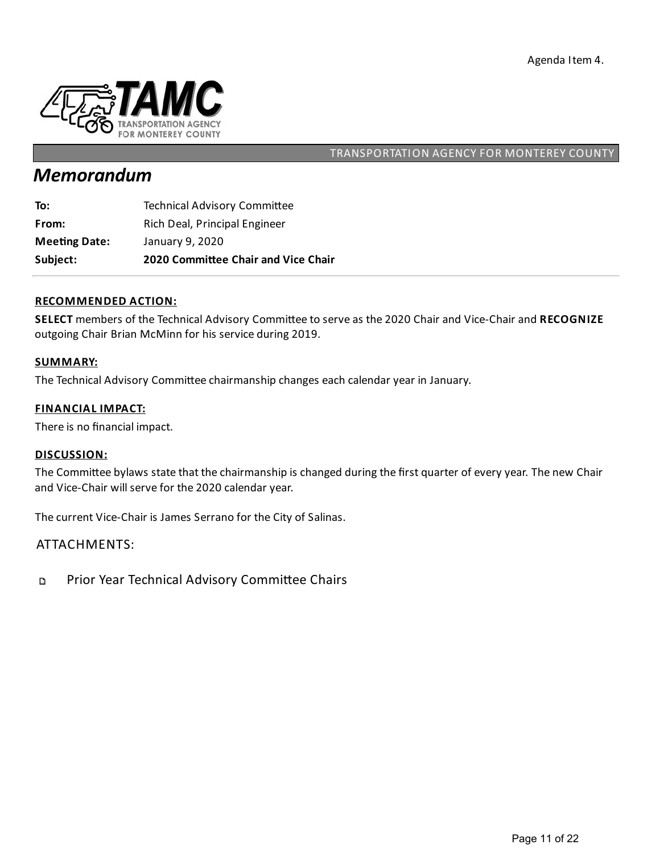

# *Memorandum*

| Subject:             | 2020 Committee Chair and Vice Chair |
|----------------------|-------------------------------------|
| <b>Meeting Date:</b> | January 9, 2020                     |
| From:                | Rich Deal, Principal Engineer       |
| To:                  | <b>Technical Advisory Committee</b> |

#### **RECOMMENDED ACTION:**

SELECT members of the Technical Advisory Committee to serve as the 2020 Chair and Vice-Chair and RECOGNIZE outgoing Chair Brian McMinn for his service during 2019.

#### **SUMMARY:**

The Technical Advisory Committee chairmanship changes each calendar year in January.

#### **FINANCIAL IMPACT:**

There is no financial impact.

#### **DISCUSSION:**

The Committee bylaws state that the chairmanship is changed during the first quarter of every year. The new Chair and Vice-Chair will serve for the 2020 calendar year.

The current Vice-Chair is James Serrano for the City of Salinas.

### ATTACHMENTS:

Prior Year Technical Advisory Committee Chairs D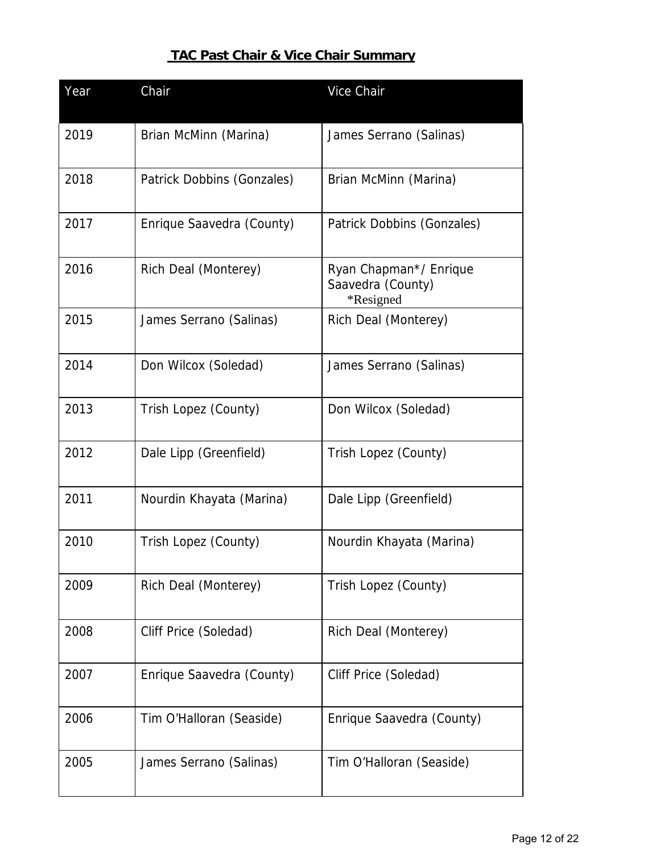# **TAC Past Chair & Vice Chair Summary**

| Year | Chair                      | Vice Chair                                               |
|------|----------------------------|----------------------------------------------------------|
| 2019 | Brian McMinn (Marina)      | James Serrano (Salinas)                                  |
| 2018 | Patrick Dobbins (Gonzales) | Brian McMinn (Marina)                                    |
| 2017 | Enrique Saavedra (County)  | Patrick Dobbins (Gonzales)                               |
| 2016 | Rich Deal (Monterey)       | Ryan Chapman*/ Enrique<br>Saavedra (County)<br>*Resigned |
| 2015 | James Serrano (Salinas)    | Rich Deal (Monterey)                                     |
| 2014 | Don Wilcox (Soledad)       | James Serrano (Salinas)                                  |
| 2013 | Trish Lopez (County)       | Don Wilcox (Soledad)                                     |
| 2012 | Dale Lipp (Greenfield)     | Trish Lopez (County)                                     |
| 2011 | Nourdin Khayata (Marina)   | Dale Lipp (Greenfield)                                   |
| 2010 | Trish Lopez (County)       | Nourdin Khayata (Marina)                                 |
| 2009 | Rich Deal (Monterey)       | Trish Lopez (County)                                     |
| 2008 | Cliff Price (Soledad)      | Rich Deal (Monterey)                                     |
| 2007 | Enrique Saavedra (County)  | Cliff Price (Soledad)                                    |
| 2006 | Tim O'Halloran (Seaside)   | Enrique Saavedra (County)                                |
| 2005 | James Serrano (Salinas)    | Tim O'Halloran (Seaside)                                 |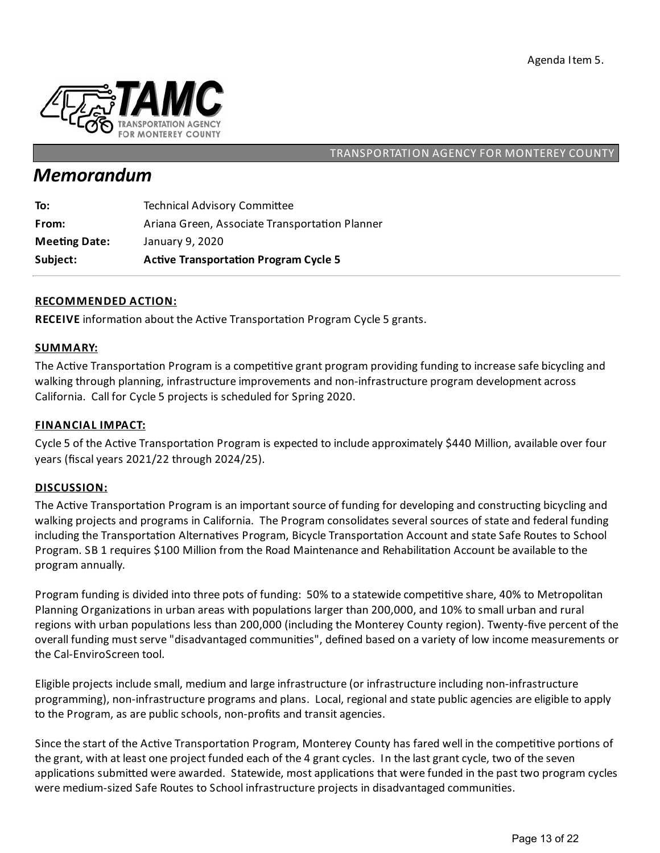

# *Memorandum*

| Subject:             | <b>Active Transportation Program Cycle 5</b>   |
|----------------------|------------------------------------------------|
| <b>Meeting Date:</b> | January 9, 2020                                |
| From:                | Ariana Green, Associate Transportation Planner |
| To:                  | <b>Technical Advisory Committee</b>            |

#### **RECOMMENDED ACTION:**

RECEIVE information about the Active Transportation Program Cycle 5 grants.

#### **SUMMARY:**

The Active Transportation Program is a competitive grant program providing funding to increase safe bicycling and walking through planning, infrastructure improvements and non-infrastructure program development across California. Call for Cycle 5 projects is scheduled for Spring 2020.

#### **FINANCIAL IMPACT:**

Cycle 5 of the Active Transportation Program is expected to include approximately \$440 Million, available over four years (fiscalyears 2021/22 through 2024/25).

#### **DISCUSSION:**

The Active Transportation Program is an important source of funding for developing and constructing bicycling and walking projects and programs in California. The Program consolidates several sources of state and federal funding including the Transportation Alternatives Program, Bicycle Transportation Account and state Safe Routes to School Program. SB 1 requires \$100 Million from the Road Maintenance and Rehabilitation Account be available to the program annually.

Program funding is divided into three pots of funding: 50% to a statewide competitive share, 40% to Metropolitan Planning Organizations in urban areas with populations larger than 200,000, and 10% to small urban and rural regions with urban populations less than 200,000 (including the Monterey County region). Twenty-five percent of the overall funding must serve "disadvantaged communities", defined based on a variety of low income measurements or the Cal-EnviroScreen tool.

Eligible projects include small, medium and large infrastructure (or infrastructure including non-infrastructure programming), non-infrastructure programs and plans. Local, regional and state public agencies are eligible to apply to the Program, as are public schools, non-profits and transit agencies.

Since the start of the Active Transportation Program, Monterey County has fared well in the competitive portions of the grant, with at least one project funded each of the 4 grant cycles. In the last grant cycle, two of the seven applications submitted were awarded. Statewide, most applications that were funded in the past two program cycles were medium-sized Safe Routes to School infrastructure projects in disadvantaged communities.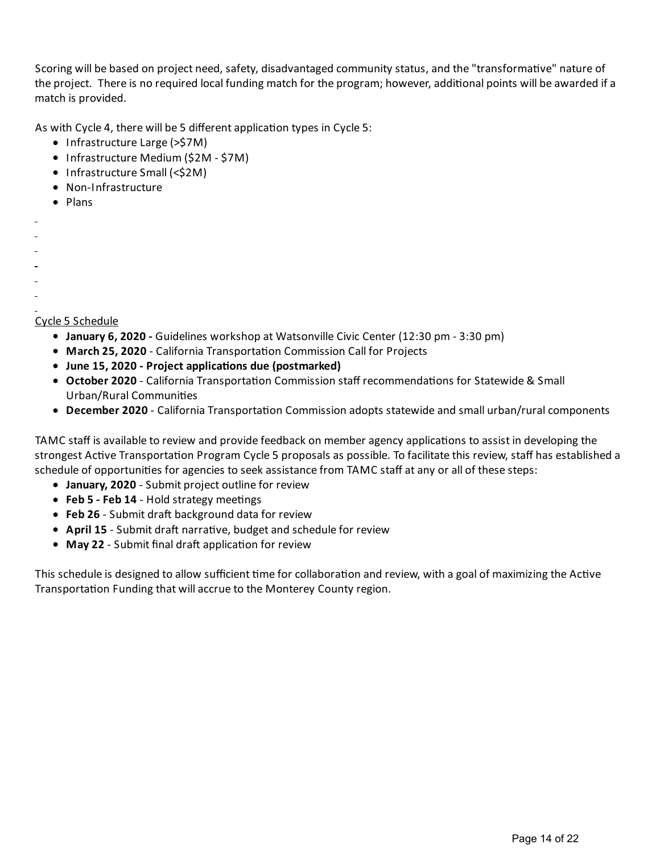Scoring will be based on project need, safety, disadvantaged community status, and the "transformative" nature of the project. There is no required local funding match for the program; however, additional points will be awarded if a match is provided.

As with Cycle 4, there will be 5 different application types in Cycle 5:

- Infrastructure Large (>\$7M)
- Infrastructure Medium (\$2M \$7M)
- Infrastructure Small (<\$2M)
- Non-Infrastructure
- Plans
- 
- 
- 
- 
- 

Cycle 5 Schedule

- **January 6, 2020 -** Guidelines workshop at Watsonville Civic Center (12:30 pm 3:30 pm)
- **March 25, 2020** California Transportation Commission Call for Projects
- **June 15, 2020 - Project applica ons due (postmarked)**
- **October 2020** California Transportation Commission staff recommendations for Statewide & Small Urban/Rural Communities
- **December 2020** California Transportation Commission adopts statewide and small urban/rural components

TAMC staff is available to review and provide feedback on member agency applications to assist in developing the strongest Active Transportation Program Cycle 5 proposals as possible. To facilitate this review, staff has established a schedule of opportunities for agencies to seek assistance from TAMC staff at any or all of these steps:

- **January, 2020** Submit project outline for review
- Feb 5 Feb 14 Hold strategy meetings
- **Feb 26** Submit draft background data for review
- **April 15** Submit draft narrative, budget and schedule for review
- May 22 Submit final draft application for review

This schedule is designed to allow sufficient time for collaboration and review, with a goal of maximizing the Active Transportation Funding that will accrue to the Monterey County region.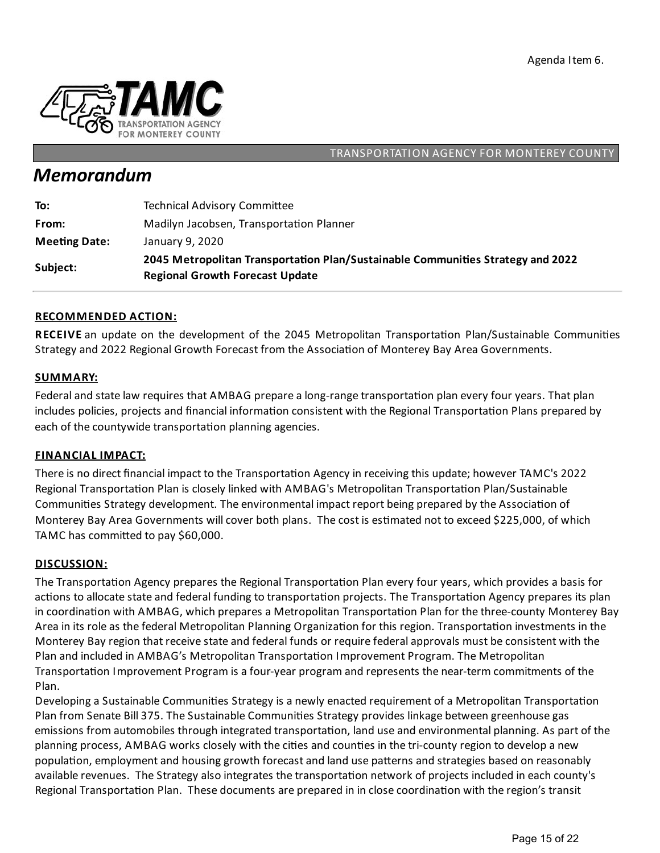

# *Memorandum*

| To:                  | <b>Technical Advisory Committee</b>                                                                                       |
|----------------------|---------------------------------------------------------------------------------------------------------------------------|
| From:                | Madilyn Jacobsen, Transportation Planner                                                                                  |
| <b>Meeting Date:</b> | January 9, 2020                                                                                                           |
| Subject:             | 2045 Metropolitan Transportation Plan/Sustainable Communities Strategy and 2022<br><b>Regional Growth Forecast Update</b> |

#### **RECOMMENDED ACTION:**

**RECEIVE** an update on the development of the 2045 Metropolitan Transportation Plan/Sustainable Communities Strategy and 2022 Regional Growth Forecast from the Association of Monterey Bay Area Governments.

#### **SUMMARY:**

Federal and state law requires that AMBAG prepare a long-range transportation plan every four years. That plan includes policies, projects and financial information consistent with the Regional Transportation Plans prepared by each of the countywide transportation planning agencies.

#### **FINANCIAL IMPACT:**

There is no direct financial impact to the Transportation Agency in receiving this update; however TAMC's 2022 Regional Transportation Plan is closely linked with AMBAG's Metropolitan Transportation Plan/Sustainable Communities Strategy development. The environmental impact report being prepared by the Association of Monterey Bay Area Governments will cover both plans. The cost is estimated not to exceed \$225,000, of which TAMC has committed to pay \$60,000.

#### **DISCUSSION:**

The Transportation Agency prepares the Regional Transportation Plan every four years, which provides a basis for actions to allocate state and federal funding to transportation projects. The Transportation Agency prepares its plan in coordination with AMBAG, which prepares a Metropolitan Transportation Plan for the three-county Monterey Bay Area in its role as the federal Metropolitan Planning Organization for this region. Transportation investments in the Monterey Bay region that receive state and federal funds or require federal approvals must be consistent with the Plan and included in AMBAG's Metropolitan Transportation Improvement Program. The Metropolitan Transportation Improvement Program is a four-year program and represents the near-term commitments of the Plan.

Developing a Sustainable Communities Strategy is a newly enacted requirement of a Metropolitan Transportation Plan from Senate Bill 375. The Sustainable Communities Strategy provides linkage between greenhouse gas emissions from automobiles through integrated transportation, land use and environmental planning. As part of the planning process, AMBAG works closely with the cities and counties in the tri-county region to develop a new population, employment and housing growth forecast and land use patterns and strategies based on reasonably available revenues. The Strategy also integrates the transportation network of projects included in each county's Regional Transportation Plan. These documents are prepared in in close coordination with the region's transit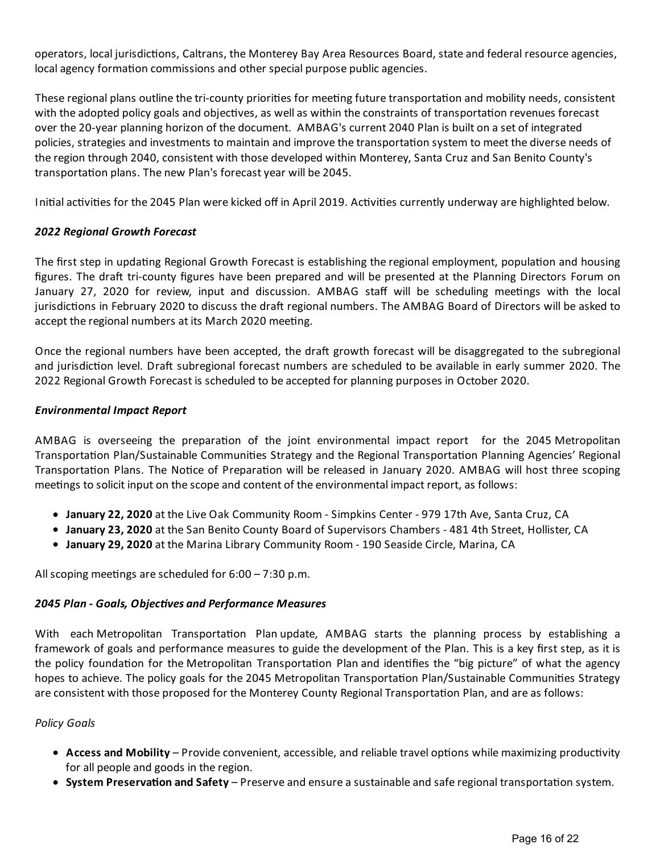operators, local jurisdictions, Caltrans, the Monterey Bay Area Resources Board, state and federal resource agencies, local agency formation commissions and other special purpose public agencies.

These regional plans outline the tri-county priorities for meeting future transportation and mobility needs, consistent with the adopted policy goals and objectives, as well as within the constraints of transportation revenues forecast over the 20-year planning horizon of the document. AMBAG's current 2040 Plan is built on aset of integrated policies, strategies and investments to maintain and improve the transportation system to meet the diverse needs of the region through 2040, consistent with those developed within Monterey, Santa Cruz and San Benito County's transportation plans. The new Plan's forecast year will be 2045.

Initial activities for the 2045 Plan were kicked off in April 2019. Activities currently underway are highlighted below.

#### *2022 Regional Growth Forecast*

The first step in updating Regional Growth Forecast is establishing the regional employment, population and housing figures. The draft tri-county figures have been prepared and will be presented at the Planning Directors Forum on January 27, 2020 for review, input and discussion. AMBAG staff will be scheduling meetings with the local jurisdictions in February 2020 to discuss the draft regional numbers. The AMBAG Board of Directors will be asked to accept the regional numbers at its March 2020 meeting.

Once the regional numbers have been accepted, the draft growth forecast will be disaggregated to the subregional and jurisdiction level. Draft subregional forecast numbers are scheduled to be available in early summer 2020. The 2022 Regional Growth Forecast is scheduled to be accepted for planning purposes in October 2020.

#### *Environmental Impact Report*

AMBAG is overseeing the preparation of the joint environmental impact report for the 2045 Metropolitan Transportation Plan/Sustainable Communities Strategy and the Regional Transportation Planning Agencies' Regional Transportation Plans. The Notice of Preparation will be released in January 2020. AMBAG will host three scoping meetings to solicit input on the scope and content of the environmental impact report, as follows:

- **January 22, 2020** at the Live Oak Community Room Simpkins Center 979 17th Ave, Santa Cruz, CA
- **January 23, 2020** at the San Benito County Board of Supervisors Chambers 481 4th Street, Hollister, CA
- **January 29, 2020** at the Marina Library Community Room 190 Seaside Circle, Marina, CA

All scoping meetings are scheduled for  $6:00 - 7:30$  p.m.

#### *2045 Plan - Goals, Objec\$ves and Performance Measures*

With each Metropolitan Transportation Plan update, AMBAG starts the planning process by establishing a framework of goals and performance measures to guide the development of the Plan. This is a key first step, as it is the policy foundation for the Metropolitan Transportation Plan and identifies the "big picture" of what the agency hopes to achieve. The policy goals for the 2045 Metropolitan Transportation Plan/Sustainable Communities Strategy are consistent with those proposed for the Monterey County Regional Transportation Plan, and are as follows:

#### *Policy Goals*

- **Access and Mobility** Provide convenient, accessible, and reliable travel options while maximizing productivity for all people and goods in the region.
- **System Preservation and Safety** Preserve and ensure a sustainable and safe regional transportation system.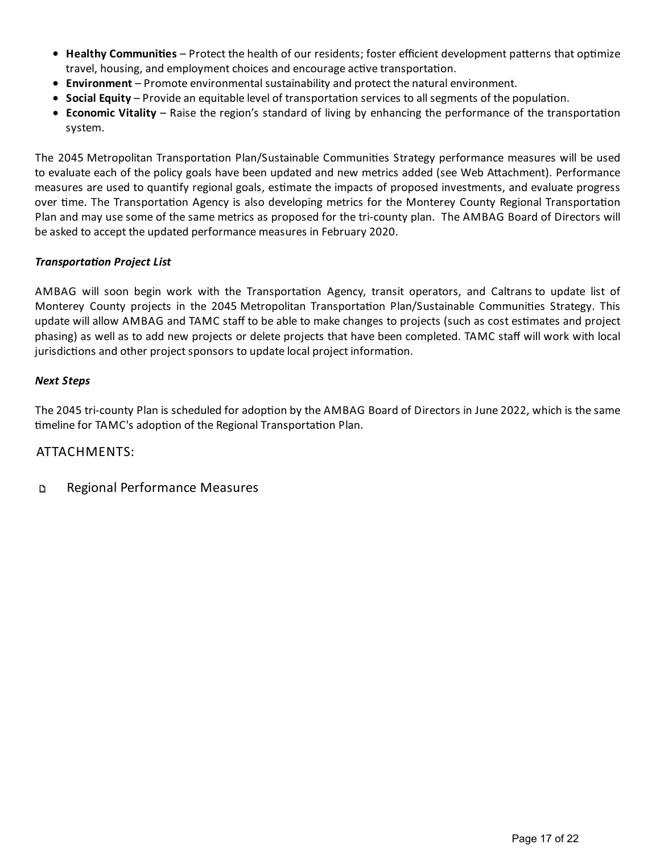- Healthy Communities Protect the health of our residents; foster efficient development patterns that optimize travel, housing, and employment choices and encourage active transportation.
- **Environment** Promote environmental sustainability and protect the natural environment.
- **Social Equity** Provide an equitable level of transportation services to all segments of the population.
- **Economic Vitality** Raise the region's standard of living by enhancing the performance of the transportation system.

The 2045 Metropolitan Transportation Plan/Sustainable Communities Strategy performance measures will be used to evaluate each of the policy goals have been updated and new metrics added (see Web Attachment). Performance measures are used to quantify regional goals, estimate the impacts of proposed investments, and evaluate progress over time. The Transportation Agency is also developing metrics for the Monterey County Regional Transportation Plan and may use some of the same metrics as proposed for the tri-county plan. The AMBAG Board of Directors will be asked to accept the updated performance measures in February 2020.

#### *Transporta\$on Project List*

AMBAG will soon begin work with the Transportation Agency, transit operators, and Caltrans to update list of Monterey County projects in the 2045 Metropolitan Transportation Plan/Sustainable Communities Strategy. This update will allow AMBAG and TAMC staff to be able to make changes to projects (such as cost estimates and project phasing) as well as to add new projects or delete projects that have been completed. TAMC staff will work with local jurisdictions and other project sponsors to update local project information.

#### *Next Steps*

The 2045 tri-county Plan is scheduled for adoption by the AMBAG Board of Directors in June 2022, which is the same timeline for TAMC's adoption of the Regional Transportation Plan.

### ATTACHMENTS:

#### Regional Performance Measures D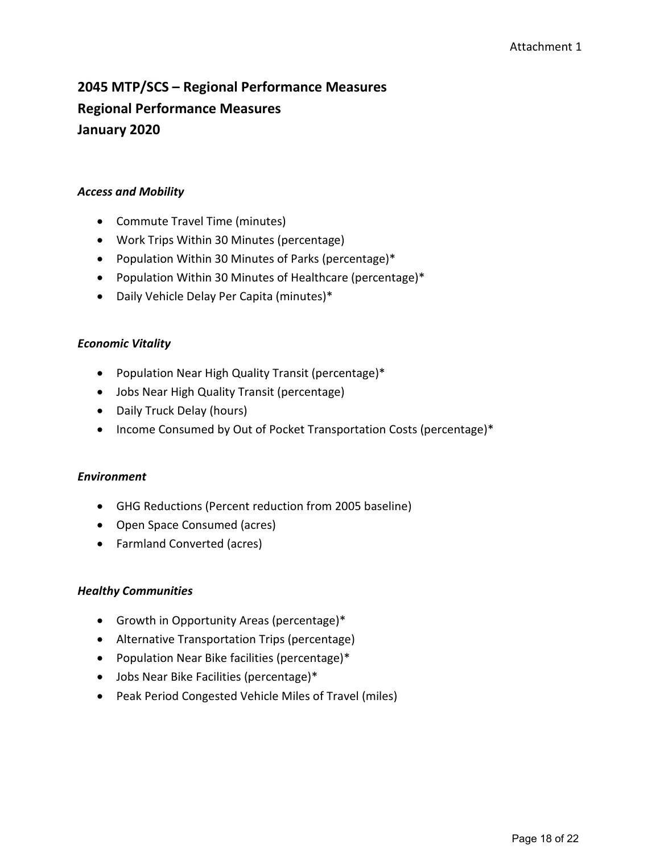# **2045 MTP/SCS – Regional Performance Measures Regional Performance Measures January 2020**

#### *Access and Mobility*

- Commute Travel Time (minutes)
- Work Trips Within 30 Minutes (percentage)
- Population Within 30 Minutes of Parks (percentage)\*
- Population Within 30 Minutes of Healthcare (percentage)\*
- Daily Vehicle Delay Per Capita (minutes)\*

#### *Economic Vitality*

- Population Near High Quality Transit (percentage)\*
- Jobs Near High Quality Transit (percentage)
- Daily Truck Delay (hours)
- Income Consumed by Out of Pocket Transportation Costs (percentage)\*

#### *Environment*

- GHG Reductions (Percent reduction from 2005 baseline)
- Open Space Consumed (acres)
- Farmland Converted (acres)

#### *Healthy Communities*

- Growth in Opportunity Areas (percentage)\*
- Alternative Transportation Trips (percentage)
- Population Near Bike facilities (percentage)\*
- Jobs Near Bike Facilities (percentage)\*
- Peak Period Congested Vehicle Miles of Travel (miles)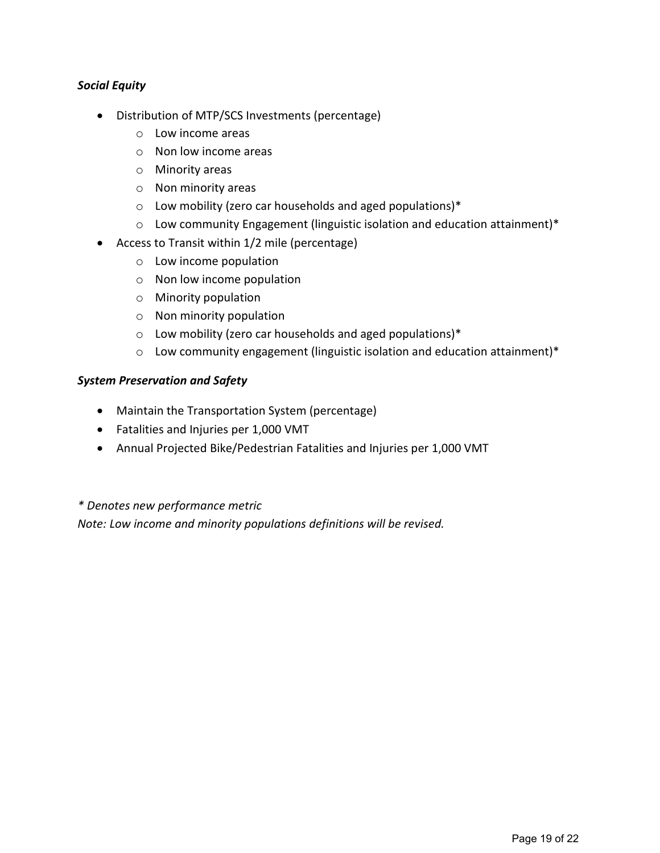#### *Social Equity*

- Distribution of MTP/SCS Investments (percentage)
	- o Low income areas
	- o Non low income areas
	- o Minority areas
	- o Non minority areas
	- o Low mobility (zero car households and aged populations)\*
	- $\circ$  Low community Engagement (linguistic isolation and education attainment)\*
- Access to Transit within 1/2 mile (percentage)
	- o Low income population
	- o Non low income population
	- o Minority population
	- o Non minority population
	- o Low mobility (zero car households and aged populations)\*
	- o Low community engagement (linguistic isolation and education attainment)\*

#### *System Preservation and Safety*

- Maintain the Transportation System (percentage)
- Fatalities and Injuries per 1,000 VMT
- Annual Projected Bike/Pedestrian Fatalities and Injuries per 1,000 VMT

#### *\* Denotes new performance metric*

*Note: Low income and minority populations definitions will be revised.*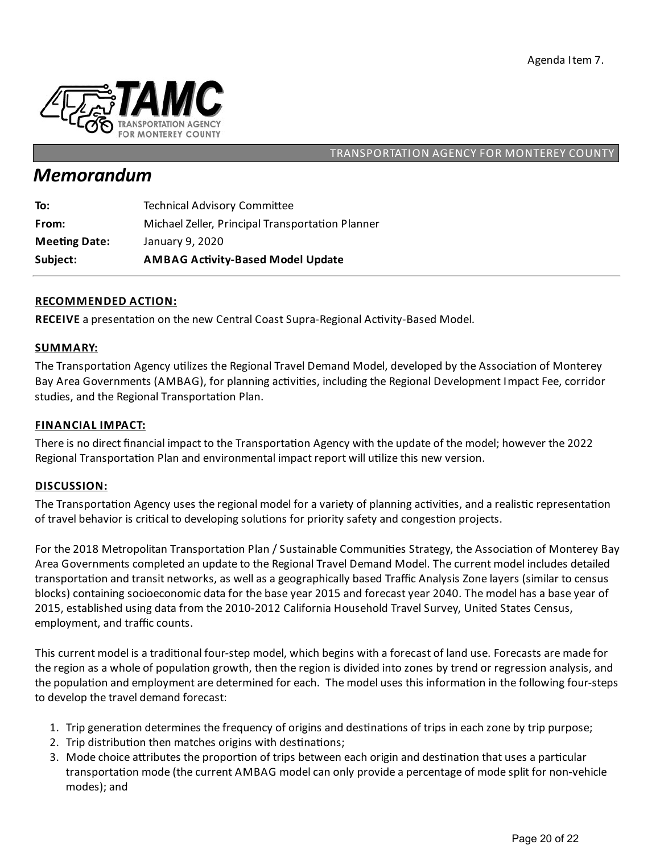

# *Memorandum*

| Subject:             | <b>AMBAG Activity-Based Model Update</b>         |
|----------------------|--------------------------------------------------|
| <b>Meeting Date:</b> | January 9, 2020                                  |
| From:                | Michael Zeller, Principal Transportation Planner |
| To:                  | <b>Technical Advisory Committee</b>              |

#### **RECOMMENDED ACTION:**

RECEIVE a presentation on the new Central Coast Supra-Regional Activity-Based Model.

#### **SUMMARY:**

The Transportation Agency utilizes the Regional Travel Demand Model, developed by the Association of Monterey Bay Area Governments (AMBAG), for planning activities, including the Regional Development Impact Fee, corridor studies, and the Regional Transportation Plan.

#### **FINANCIAL IMPACT:**

There is no direct financial impact to the Transportation Agency with the update of the model; however the 2022 Regional Transportation Plan and environmental impact report will utilize this new version.

#### **DISCUSSION:**

The Transportation Agency uses the regional model for a variety of planning activities, and a realistic representation of travel behavior is critical to developing solutions for priority safety and congestion projects.

For the 2018 Metropolitan Transportation Plan / Sustainable Communities Strategy, the Association of Monterey Bay Area Governments completed an update to the Regional Travel Demand Model. The current model includes detailed transportation and transit networks, as well as a geographically based Traffic Analysis Zone layers (similar to census blocks) containing socioeconomic data for the base year 2015 and forecast year 2040. The model has a base year of 2015, established using data from the 2010-2012 California Household Travel Survey, United States Census, employment, and traffic counts.

This current model is a traditional four-step model, which begins with a forecast of land use. Forecasts are made for the region as a whole of population growth, then the region is divided into zones by trend or regression analysis, and the population and employment are determined for each. The model uses this information in the following four-steps to develop the travel demand forecast:

- 1. Trip generation determines the frequency of origins and destinations of trips in each zone by trip purpose;
- 2. Trip distribution then matches origins with destinations;
- 3. Mode choice attributes the proportion of trips between each origin and destination that uses a particular transportation mode (the current AMBAG model can only provide a percentage of mode split for non-vehicle modes);and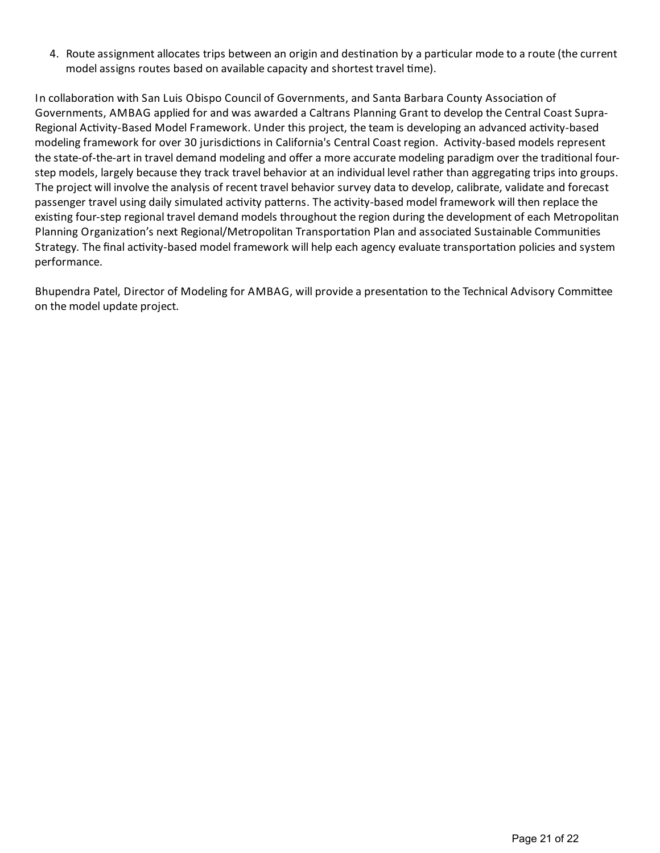4. Route assignment allocates trips between an origin and destination by a particular mode to a route (the current model assigns routes based on available capacity and shortest travel time).

In collaboration with San Luis Obispo Council of Governments, and Santa Barbara County Association of Governments, AMBAG applied for and was awarded a Caltrans Planning Grant to develop the Central Coast Supra-Regional Activity-Based Model Framework. Under this project, the team is developing an advanced activity-based modeling framework for over 30 jurisdictions in California's Central Coast region. Activity-based models represent the state-of-the-art in travel demand modeling and offer a more accurate modeling paradigm over the traditional fourstep models, largely because they track travel behavior at an individual level rather than aggregating trips into groups. The project will involve the analysis of recent travel behavior survey data to develop, calibrate, validate and forecast passenger travel using daily simulated activity patterns. The activity-based model framework will then replace the existing four-step regional travel demand models throughout the region during the development of each Metropolitan Planning Organization's next Regional/Metropolitan Transportation Plan and associated Sustainable Communities Strategy. The final activity-based model framework will help each agency evaluate transportation policies and system performance.

Bhupendra Patel, Director of Modeling for AMBAG, will provide a presentation to the Technical Advisory Committee on the model update project.